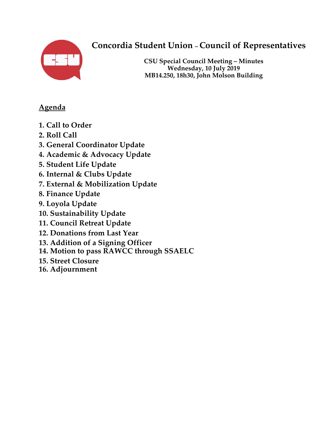

# **Concordia Student Union – Council of Representatives**

**CSU Special Council Meeting – Minutes Wednesday, 10 July 2019 MB14.250, 18h30, John Molson Building**

# **Agenda**

- **1. Call to Order**
- **2. Roll Call**
- **3. General Coordinator Update**
- **4. Academic & Advocacy Update**
- **5. Student Life Update**
- **6. Internal & Clubs Update**
- **7. External & Mobilization Update**
- **8. Finance Update**
- **9. Loyola Update**
- **10. Sustainability Update**
- **11. Council Retreat Update**
- **12. Donations from Last Year**
- **13. Addition of a Signing Officer**
- **14. Motion to pass RAWCC through SSAELC**
- **15. Street Closure**
- **16. Adjournment**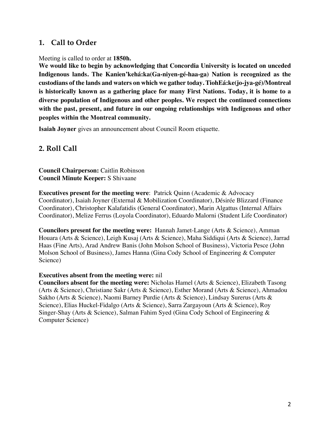#### **1. Call to Order**

Meeting is called to order at **1850h.** 

**We would like to begin by acknowledging that Concordia University is located on unceded Indigenous lands. The Kanien'kehá:ka(Ga-niyen-gé-haa-ga) Nation is recognized as the custodians of the lands and waters on which we gather today. TiohEá:ke(jo-jya-gé)/Montreal is historically known as a gathering place for many First Nations. Today, it is home to a diverse population of Indigenous and other peoples. We respect the continued connections with the past, present, and future in our ongoing relationships with Indigenous and other peoples within the Montreal community.** 

**Isaiah Joyner** gives an announcement about Council Room etiquette.

#### **2. Roll Call**

**Council Chairperson:** Caitlin Robinson **Council Minute Keeper:** S Shivaane

**Executives present for the meeting were**: Patrick Quinn (Academic & Advocacy Coordinator), Isaiah Joyner (External & Mobilization Coordinator), Désirée Blizzard (Finance Coordinator), Christopher Kalafatidis (General Coordinator), Marin Algattus (Internal Affairs Coordinator), Melize Ferrus (Loyola Coordinator), Eduardo Malorni (Student Life Coordinator)

**Councilors present for the meeting were:** Hannah Jamet-Lange (Arts & Science), Amman Houara (Arts & Science), Leigh Kusaj (Arts & Science), Maha Siddiqui (Arts & Science), Jarrad Haas (Fine Arts), Arad Andrew Banis (John Molson School of Business), Victoria Pesce (John Molson School of Business), James Hanna (Gina Cody School of Engineering & Computer Science)

#### **Executives absent from the meeting were:** nil

**Councilors absent for the meeting were:** Nicholas Hamel (Arts & Science), Elizabeth Tasong (Arts & Science), Christiane Sakr (Arts & Science), Esther Morand (Arts & Science), Ahmadou Sakho (Arts & Science), Naomi Barney Purdie (Arts & Science), Lindsay Surerus (Arts & Science), Elias Huckel-Fidalgo (Arts & Science), Sarra Zargayoun (Arts & Science), Roy Singer-Shay (Arts & Science), Salman Fahim Syed (Gina Cody School of Engineering & Computer Science)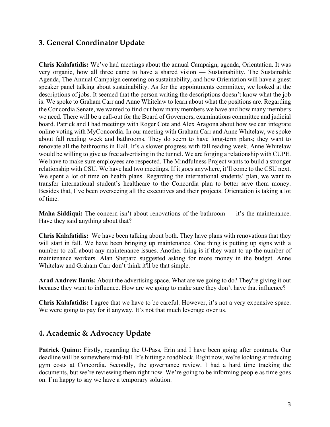## **3. General Coordinator Update**

**Chris Kalafatidis:** We've had meetings about the annual Campaign, agenda, Orientation. It was very organic, how all three came to have a shared vision — Sustainability. The Sustainable Agenda, The Annual Campaign centering on sustainability, and how Orientation will have a guest speaker panel talking about sustainability. As for the appointments committee, we looked at the descriptions of jobs. It seemed that the person writing the descriptions doesn't know what the job is. We spoke to Graham Carr and Anne Whitelaw to learn about what the positions are. Regarding the Concordia Senate, we wanted to find out how many members we have and how many members we need. There will be a call-out for the Board of Governors, examinations committee and judicial board. Patrick and I had meetings with Roger Cote and Alex Aragona about how we can integrate online voting with MyConcordia. In our meeting with Graham Carr and Anne Whitelaw, we spoke about fall reading week and bathrooms. They do seem to have long-term plans; they want to renovate all the bathrooms in Hall. It's a slower progress with fall reading week. Anne Whitelaw would be willing to give us free advertising in the tunnel. We are forging a relationship with CUPE. We have to make sure employees are respected. The Mindfulness Project wants to build a stronger relationship with CSU. We have had two meetings. If it goes anywhere, it'll come to the CSU next. We spent a lot of time on health plans. Regarding the international students' plan, we want to transfer international student's healthcare to the Concordia plan to better save them money. Besides that, I've been overseeing all the executives and their projects. Orientation is taking a lot of time.

**Maha Siddiqui:** The concern isn't about renovations of the bathroom — it's the maintenance. Have they said anything about that?

**Chris Kalafatidis:** We have been talking about both. They have plans with renovations that they will start in fall. We have been bringing up maintenance. One thing is putting up signs with a number to call about any maintenance issues. Another thing is if they want to up the number of maintenance workers. Alan Shepard suggested asking for more money in the budget. Anne Whitelaw and Graham Carr don't think it'll be that simple.

**Arad Andrew Banis:** About the advertising space. What are we going to do? They're giving it out because they want to influence. How are we going to make sure they don't have that influence?

**Chris Kalafatidis:** I agree that we have to be careful. However, it's not a very expensive space. We were going to pay for it anyway. It's not that much leverage over us.

## **4. Academic & Advocacy Update**

Patrick Quinn: Firstly, regarding the U-Pass, Erin and I have been going after contracts. Our deadline will be somewhere mid-fall. It's hitting a roadblock. Right now, we're looking at reducing gym costs at Concordia. Secondly, the governance review. I had a hard time tracking the documents, but we're reviewing them right now. We're going to be informing people as time goes on. I'm happy to say we have a temporary solution.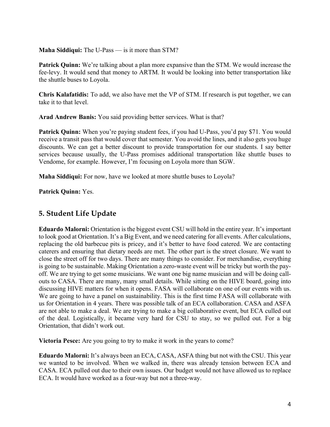#### **Maha Siddiqui:** The U-Pass — is it more than STM?

**Patrick Quinn:** We're talking about a plan more expansive than the STM. We would increase the fee-levy. It would send that money to ARTM. It would be looking into better transportation like the shuttle buses to Loyola.

**Chris Kalafatidis:** To add, we also have met the VP of STM. If research is put together, we can take it to that level.

**Arad Andrew Banis:** You said providing better services. What is that?

**Patrick Quinn:** When you're paying student fees, if you had U-Pass, you'd pay \$71. You would receive a transit pass that would cover that semester. You avoid the lines, and it also gets you huge discounts. We can get a better discount to provide transportation for our students. I say better services because usually, the U-Pass promises additional transportation like shuttle buses to Vendome, for example. However, I'm focusing on Loyola more than SGW.

**Maha Siddiqui:** For now, have we looked at more shuttle buses to Loyola?

**Patrick Quinn:** Yes.

## **5. Student Life Update**

**Eduardo Malorni:** Orientation is the biggest event CSU will hold in the entire year. It's important to look good at Orientation. It's a Big Event, and we need catering for all events. After calculations, replacing the old barbecue pits is pricey, and it's better to have food catered. We are contacting caterers and ensuring that dietary needs are met. The other part is the street closure. We want to close the street off for two days. There are many things to consider. For merchandise, everything is going to be sustainable. Making Orientation a zero-waste event will be tricky but worth the payoff. We are trying to get some musicians. We want one big name musician and will be doing callouts to CASA. There are many, many small details. While sitting on the HIVE board, going into discussing HIVE matters for when it opens. FASA will collaborate on one of our events with us. We are going to have a panel on sustainability. This is the first time FASA will collaborate with us for Orientation in 4 years. There was possible talk of an ECA collaboration. CASA and ASFA are not able to make a deal. We are trying to make a big collaborative event, but ECA culled out of the deal. Logistically, it became very hard for CSU to stay, so we pulled out. For a big Orientation, that didn't work out.

**Victoria Pesce:** Are you going to try to make it work in the years to come?

**Eduardo Malorni:** It's always been an ECA, CASA, ASFA thing but not with the CSU. This year we wanted to be involved. When we walked in, there was already tension between ECA and CASA. ECA pulled out due to their own issues. Our budget would not have allowed us to replace ECA. It would have worked as a four-way but not a three-way.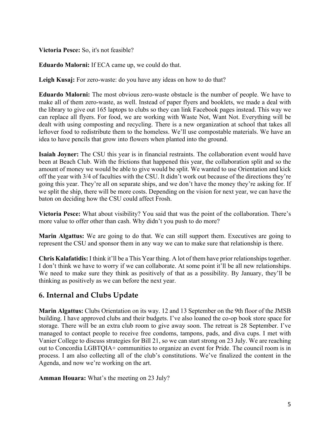#### **Victoria Pesce:** So, it's not feasible?

**Eduardo Malorni:** If ECA came up, we could do that.

**Leigh Kusaj:** For zero-waste: do you have any ideas on how to do that?

**Eduardo Malorni:** The most obvious zero-waste obstacle is the number of people. We have to make all of them zero-waste, as well. Instead of paper flyers and booklets, we made a deal with the library to give out 165 laptops to clubs so they can link Facebook pages instead. This way we can replace all flyers. For food, we are working with Waste Not, Want Not. Everything will be dealt with using composting and recycling. There is a new organization at school that takes all leftover food to redistribute them to the homeless. We'll use compostable materials. We have an idea to have pencils that grow into flowers when planted into the ground.

**Isaiah Joyner:** The CSU this year is in financial restraints. The collaboration event would have been at Beach Club. With the frictions that happened this year, the collaboration split and so the amount of money we would be able to give would be split. We wanted to use Orientation and kick off the year with 3/4 of faculties with the CSU. It didn't work out because of the directions they're going this year. They're all on separate ships, and we don't have the money they're asking for. If we split the ship, there will be more costs. Depending on the vision for next year, we can have the baton on deciding how the CSU could affect Frosh.

**Victoria Pesce:** What about visibility? You said that was the point of the collaboration. There's more value to offer other than cash. Why didn't you push to do more?

**Marin Algattus:** We are going to do that. We can still support them. Executives are going to represent the CSU and sponsor them in any way we can to make sure that relationship is there.

**Chris Kalafatidis:** I think it'll be a This Year thing. A lot of them have prior relationships together. I don't think we have to worry if we can collaborate. At some point it'll be all new relationships. We need to make sure they think as positively of that as a possibility. By January, they'll be thinking as positively as we can before the next year.

## **6. Internal and Clubs Update**

**Marin Algattus:** Clubs Orientation on its way. 12 and 13 September on the 9th floor of the JMSB building. I have approved clubs and their budgets. I've also loaned the co-op book store space for storage. There will be an extra club room to give away soon. The retreat is 28 September. I've managed to contact people to receive free condoms, tampons, pads, and diva cups. I met with Vanier College to discuss strategies for Bill 21, so we can start strong on 23 July. We are reaching out to Concordia LGBTQIA+ communities to organize an event for Pride. The council room is in process. I am also collecting all of the club's constitutions. We've finalized the content in the Agenda, and now we're working on the art.

**Amman Houara:** What's the meeting on 23 July?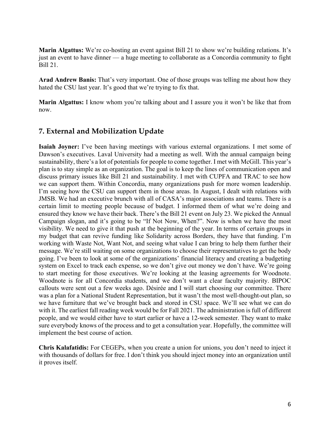**Marin Algattus:** We're co-hosting an event against Bill 21 to show we're building relations. It's just an event to have dinner — a huge meeting to collaborate as a Concordia community to fight Bill 21.

**Arad Andrew Banis:** That's very important. One of those groups was telling me about how they hated the CSU last year. It's good that we're trying to fix that.

**Marin Algattus:** I know whom you're talking about and I assure you it won't be like that from now.

#### **7. External and Mobilization Update**

**Isaiah Joyner:** I've been having meetings with various external organizations. I met some of Dawson's executives. Laval University had a meeting as well. With the annual campaign being sustainability, there's a lot of potentials for people to come together. I met with McGill. This year's plan is to stay simple as an organization. The goal is to keep the lines of communication open and discuss primary issues like Bill 21 and sustainability. I met with CUPFA and TRAC to see how we can support them. Within Concordia, many organizations push for more women leadership. I'm seeing how the CSU can support them in those areas. In August, I dealt with relations with JMSB. We had an executive brunch with all of CASA's major associations and teams. There is a certain limit to meeting people because of budget. I informed them of what we're doing and ensured they know we have their back. There's the Bill 21 event on July 23. We picked the Annual Campaign slogan, and it's going to be "If Not Now, When?". Now is when we have the most visibility. We need to give it that push at the beginning of the year. In terms of certain groups in my budget that can revive funding like Solidarity across Borders, they have that funding. I'm working with Waste Not, Want Not, and seeing what value I can bring to help them further their message. We're still waiting on some organizations to choose their representatives to get the body going. I've been to look at some of the organizations' financial literacy and creating a budgeting system on Excel to track each expense, so we don't give out money we don't have. We're going to start meeting for those executives. We're looking at the leasing agreements for Woodnote. Woodnote is for all Concordia students, and we don't want a clear faculty majority. BIPOC callouts were sent out a few weeks ago. Désirée and I will start choosing our committee. There was a plan for a National Student Representation, but it wasn't the most well-thought-out plan, so we have furniture that we've brought back and stored in CSU space. We'll see what we can do with it. The earliest fall reading week would be for Fall 2021. The administration is full of different people, and we would either have to start earlier or have a 12-week semester. They want to make sure everybody knows of the process and to get a consultation year. Hopefully, the committee will implement the best course of action.

**Chris Kalafatidis:** For CEGEPs, when you create a union for unions, you don't need to inject it with thousands of dollars for free. I don't think you should inject money into an organization until it proves itself.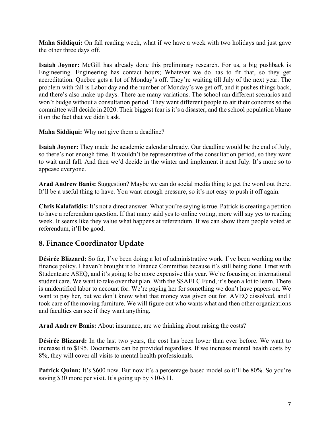**Maha Siddiqui:** On fall reading week, what if we have a week with two holidays and just gave the other three days off.

**Isaiah Joyner:** McGill has already done this preliminary research. For us, a big pushback is Engineering. Engineering has contact hours; Whatever we do has to fit that, so they get accreditation. Quebec gets a lot of Monday's off. They're waiting till July of the next year. The problem with fall is Labor day and the number of Monday's we get off, and it pushes things back, and there's also make-up days. There are many variations. The school ran different scenarios and won't budge without a consultation period. They want different people to air their concerns so the committee will decide in 2020. Their biggest fear is it's a disaster, and the school population blame it on the fact that we didn't ask.

**Maha Siddiqui:** Why not give them a deadline?

**Isaiah Joyner:** They made the academic calendar already. Our deadline would be the end of July, so there's not enough time. It wouldn't be representative of the consultation period, so they want to wait until fall. And then we'd decide in the winter and implement it next July. It's more so to appease everyone.

**Arad Andrew Banis:** Suggestion? Maybe we can do social media thing to get the word out there. It'll be a useful thing to have. You want enough pressure, so it's not easy to push it off again.

**Chris Kalafatidis:** It's not a direct answer. What you're saying is true. Patrick is creating a petition to have a referendum question. If that many said yes to online voting, more will say yes to reading week. It seems like they value what happens at referendum. If we can show them people voted at referendum, it'll be good.

## **8. Finance Coordinator Update**

**Désirée Blizzard:** So far, I've been doing a lot of administrative work. I've been working on the finance policy. I haven't brought it to Finance Committee because it's still being done. I met with Studentcare ASEQ, and it's going to be more expensive this year. We're focusing on international student care. We want to take over that plan. With the SSAELC Fund, it's been a lot to learn. There is unidentified labor to account for. We're paying her for something we don't have papers on. We want to pay her, but we don't know what that money was given out for. AVEQ dissolved, and I took care of the moving furniture. We will figure out who wants what and then other organizations and faculties can see if they want anything.

**Arad Andrew Banis:** About insurance, are we thinking about raising the costs?

**Désirée Blizzard:** In the last two years, the cost has been lower than ever before. We want to increase it to \$195. Documents can be provided regardless. If we increase mental health costs by 8%, they will cover all visits to mental health professionals.

**Patrick Quinn:** It's \$600 now. But now it's a percentage-based model so it'll be 80%. So you're saving \$30 more per visit. It's going up by \$10-\$11.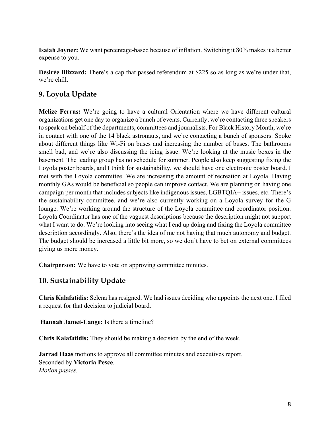**Isaiah Joyner:** We want percentage-based because of inflation. Switching it 80% makes it a better expense to you.

**Désirée Blizzard:** There's a cap that passed referendum at \$225 so as long as we're under that, we're chill.

# **9. Loyola Update**

**Melize Ferrus:** We're going to have a cultural Orientation where we have different cultural organizations get one day to organize a bunch of events. Currently, we're contacting three speakers to speak on behalf of the departments, committees and journalists. For Black History Month, we're in contact with one of the 14 black astronauts, and we're contacting a bunch of sponsors. Spoke about different things like Wi-Fi on buses and increasing the number of buses. The bathrooms smell bad, and we're also discussing the icing issue. We're looking at the music boxes in the basement. The leading group has no schedule for summer. People also keep suggesting fixing the Loyola poster boards, and I think for sustainability, we should have one electronic poster board. I met with the Loyola committee. We are increasing the amount of recreation at Loyola. Having monthly GAs would be beneficial so people can improve contact. We are planning on having one campaign per month that includes subjects like indigenous issues, LGBTQIA+ issues, etc. There's the sustainability committee, and we're also currently working on a Loyola survey for the G lounge. We're working around the structure of the Loyola committee and coordinator position. Loyola Coordinator has one of the vaguest descriptions because the description might not support what I want to do. We're looking into seeing what I end up doing and fixing the Loyola committee description accordingly. Also, there's the idea of me not having that much autonomy and budget. The budget should be increased a little bit more, so we don't have to bet on external committees giving us more money.

**Chairperson:** We have to vote on approving committee minutes.

## **10. Sustainability Update**

**Chris Kalafatidis:** Selena has resigned. We had issues deciding who appoints the next one. I filed a request for that decision to judicial board.

**Hannah Jamet-Lange:** Is there a timeline?

**Chris Kalafatidis:** They should be making a decision by the end of the week.

**Jarrad Haas** motions to approve all committee minutes and executives report. Seconded by **Victoria Pesce**. *Motion passes.*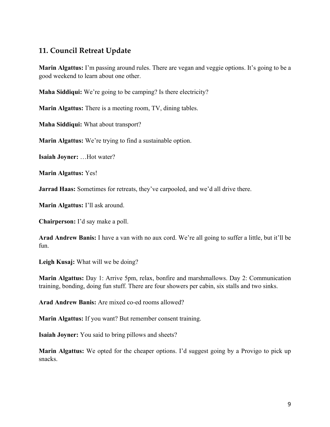#### **11. Council Retreat Update**

**Marin Algattus:** I'm passing around rules. There are vegan and veggie options. It's going to be a good weekend to learn about one other.

**Maha Siddiqui:** We're going to be camping? Is there electricity?

**Marin Algattus:** There is a meeting room, TV, dining tables.

**Maha Siddiqui:** What about transport?

**Marin Algattus:** We're trying to find a sustainable option.

**Isaiah Joyner:** …Hot water?

**Marin Algattus:** Yes!

**Jarrad Haas:** Sometimes for retreats, they've carpooled, and we'd all drive there.

**Marin Algattus:** I'll ask around.

**Chairperson:** I'd say make a poll.

**Arad Andrew Banis:** I have a van with no aux cord. We're all going to suffer a little, but it'll be fun.

**Leigh Kusaj:** What will we be doing?

**Marin Algattus:** Day 1: Arrive 5pm, relax, bonfire and marshmallows. Day 2: Communication training, bonding, doing fun stuff. There are four showers per cabin, six stalls and two sinks.

**Arad Andrew Banis:** Are mixed co-ed rooms allowed?

**Marin Algattus:** If you want? But remember consent training.

**Isaiah Joyner:** You said to bring pillows and sheets?

**Marin Algattus:** We opted for the cheaper options. I'd suggest going by a Provigo to pick up snacks.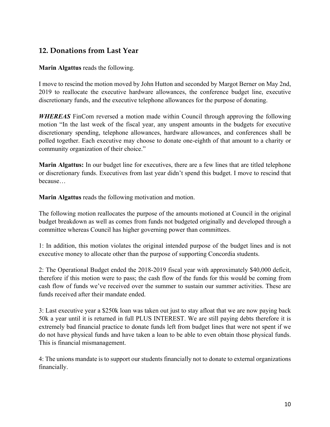#### **12. Donations from Last Year**

**Marin Algattus** reads the following.

I move to rescind the motion moved by John Hutton and seconded by Margot Berner on May 2nd, 2019 to reallocate the executive hardware allowances, the conference budget line, executive discretionary funds, and the executive telephone allowances for the purpose of donating.

*WHEREAS* FinCom reversed a motion made within Council through approving the following motion "In the last week of the fiscal year, any unspent amounts in the budgets for executive discretionary spending, telephone allowances, hardware allowances, and conferences shall be polled together. Each executive may choose to donate one-eighth of that amount to a charity or community organization of their choice."

**Marin Algattus:** In our budget line for executives, there are a few lines that are titled telephone or discretionary funds. Executives from last year didn't spend this budget. I move to rescind that because…

**Marin Algattus** reads the following motivation and motion.

The following motion reallocates the purpose of the amounts motioned at Council in the original budget breakdown as well as comes from funds not budgeted originally and developed through a committee whereas Council has higher governing power than committees.

1: In addition, this motion violates the original intended purpose of the budget lines and is not executive money to allocate other than the purpose of supporting Concordia students.

2: The Operational Budget ended the 2018-2019 fiscal year with approximately \$40,000 deficit, therefore if this motion were to pass; the cash flow of the funds for this would be coming from cash flow of funds we've received over the summer to sustain our summer activities. These are funds received after their mandate ended.

3: Last executive year a \$250k loan was taken out just to stay afloat that we are now paying back 50k a year until it is returned in full PLUS INTEREST. We are still paying debts therefore it is extremely bad financial practice to donate funds left from budget lines that were not spent if we do not have physical funds and have taken a loan to be able to even obtain those physical funds. This is financial mismanagement.

4: The unions mandate is to support our students financially not to donate to external organizations financially.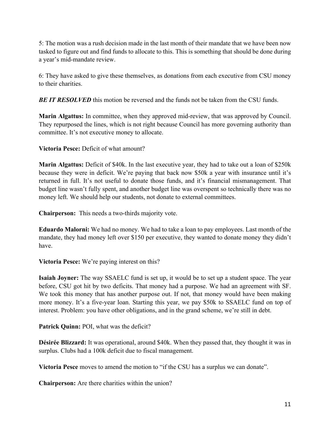5: The motion was a rush decision made in the last month of their mandate that we have been now tasked to figure out and find funds to allocate to this. This is something that should be done during a year's mid-mandate review.

6: They have asked to give these themselves, as donations from each executive from CSU money to their charities.

*BE IT RESOLVED* this motion be reversed and the funds not be taken from the CSU funds.

**Marin Algattus:** In committee, when they approved mid-review, that was approved by Council. They repurposed the lines, which is not right because Council has more governing authority than committee. It's not executive money to allocate.

**Victoria Pesce:** Deficit of what amount?

**Marin Algattus:** Deficit of \$40k. In the last executive year, they had to take out a loan of \$250k because they were in deficit. We're paying that back now \$50k a year with insurance until it's returned in full. It's not useful to donate those funds, and it's financial mismanagement. That budget line wasn't fully spent, and another budget line was overspent so technically there was no money left. We should help our students, not donate to external committees.

**Chairperson:** This needs a two-thirds majority vote.

**Eduardo Malorni:** We had no money. We had to take a loan to pay employees. Last month of the mandate, they had money left over \$150 per executive, they wanted to donate money they didn't have.

**Victoria Pesce:** We're paying interest on this?

**Isaiah Joyner:** The way SSAELC fund is set up, it would be to set up a student space. The year before, CSU got hit by two deficits. That money had a purpose. We had an agreement with SF. We took this money that has another purpose out. If not, that money would have been making more money. It's a five-year loan. Starting this year, we pay \$50k to SSAELC fund on top of interest. Problem: you have other obligations, and in the grand scheme, we're still in debt.

**Patrick Quinn:** POI, what was the deficit?

**Désirée Blizzard:** It was operational, around \$40k. When they passed that, they thought it was in surplus. Clubs had a 100k deficit due to fiscal management.

**Victoria Pesce** moves to amend the motion to "if the CSU has a surplus we can donate".

**Chairperson:** Are there charities within the union?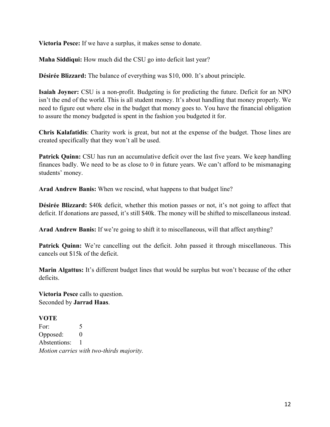**Victoria Pesce:** If we have a surplus, it makes sense to donate.

**Maha Siddiqui:** How much did the CSU go into deficit last year?

**Désirée Blizzard:** The balance of everything was \$10, 000. It's about principle.

**Isaiah Joyner:** CSU is a non-profit. Budgeting is for predicting the future. Deficit for an NPO isn't the end of the world. This is all student money. It's about handling that money properly. We need to figure out where else in the budget that money goes to. You have the financial obligation to assure the money budgeted is spent in the fashion you budgeted it for.

**Chris Kalafatidis**: Charity work is great, but not at the expense of the budget. Those lines are created specifically that they won't all be used.

**Patrick Quinn:** CSU has run an accumulative deficit over the last five years. We keep handling finances badly. We need to be as close to 0 in future years. We can't afford to be mismanaging students' money.

**Arad Andrew Banis:** When we rescind, what happens to that budget line?

**Désirée Blizzard:** \$40k deficit, whether this motion passes or not, it's not going to affect that deficit. If donations are passed, it's still \$40k. The money will be shifted to miscellaneous instead.

**Arad Andrew Banis:** If we're going to shift it to miscellaneous, will that affect anything?

Patrick Quinn: We're cancelling out the deficit. John passed it through miscellaneous. This cancels out \$15k of the deficit.

**Marin Algattus:** It's different budget lines that would be surplus but won't because of the other deficits.

**Victoria Pesce** calls to question. Seconded by **Jarrad Haas**.

**VOTE** For: 5 Opposed: 0 Abstentions: 1 *Motion carries with two-thirds majority.*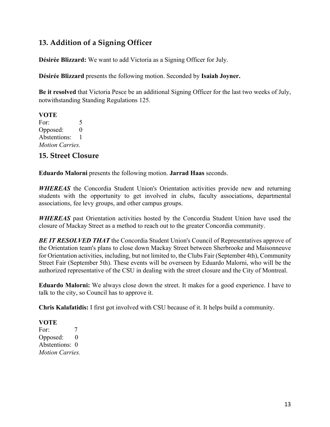# **13. Addition of a Signing Officer**

**Désirée Blizzard:** We want to add Victoria as a Signing Officer for July.

**Désirée Blizzard** presents the following motion. Seconded by **Isaiah Joyner.**

**Be it resolved** that Victoria Pesce be an additional Signing Officer for the last two weeks of July, notwithstanding Standing Regulations 125.

**VOTE** For: 5 Opposed: 0 Abstentions: 1 *Motion Carries.* 

#### **15. Street Closure**

**Eduardo Malorni** presents the following motion. **Jarrad Haas** seconds.

*WHEREAS* the Concordia Student Union's Orientation activities provide new and returning students with the opportunity to get involved in clubs, faculty associations, departmental associations, fee levy groups, and other campus groups.

*WHEREAS* past Orientation activities hosted by the Concordia Student Union have used the closure of Mackay Street as a method to reach out to the greater Concordia community.

**BE IT RESOLVED THAT** the Concordia Student Union's Council of Representatives approve of the Orientation team's plans to close down Mackay Street between Sherbrooke and Maisonneuve for Orientation activities, including, but not limited to, the Clubs Fair (September 4th), Community Street Fair (September 5th). These events will be overseen by Eduardo Malorni, who will be the authorized representative of the CSU in dealing with the street closure and the City of Montreal.

**Eduardo Malorni:** We always close down the street. It makes for a good experience. I have to talk to the city, so Council has to approve it.

**Chris Kalafatidis:** I first got involved with CSU because of it. It helps build a community.

#### **VOTE**

For: 7 Opposed: 0 Abstentions: 0 *Motion Carries.*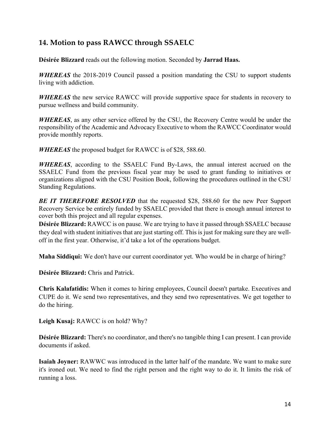# **14. Motion to pass RAWCC through SSAELC**

**Désirée Blizzard** reads out the following motion. Seconded by **Jarrad Haas.**

*WHEREAS* the 2018-2019 Council passed a position mandating the CSU to support students living with addiction.

*WHEREAS* the new service RAWCC will provide supportive space for students in recovery to pursue wellness and build community.

*WHEREAS*, as any other service offered by the CSU, the Recovery Centre would be under the responsibility of the Academic and Advocacy Executive to whom the RAWCC Coordinator would provide monthly reports.

*WHEREAS* the proposed budget for RAWCC is of \$28, 588.60.

*WHEREAS*, according to the SSAELC Fund By-Laws, the annual interest accrued on the SSAELC Fund from the previous fiscal year may be used to grant funding to initiatives or organizations aligned with the CSU Position Book, following the procedures outlined in the CSU Standing Regulations.

*BE IT THEREFORE RESOLVED* that the requested \$28, 588.60 for the new Peer Support Recovery Service be entirely funded by SSAELC provided that there is enough annual interest to cover both this project and all regular expenses.

**Désirée Blizzard:** RAWCC is on pause. We are trying to have it passed through SSAELC because they deal with student initiatives that are just starting off. This is just for making sure they are welloff in the first year. Otherwise, it'd take a lot of the operations budget.

**Maha Siddiqui:** We don't have our current coordinator yet. Who would be in charge of hiring?

**Désirée Blizzard:** Chris and Patrick.

**Chris Kalafatidis:** When it comes to hiring employees, Council doesn't partake. Executives and CUPE do it. We send two representatives, and they send two representatives. We get together to do the hiring.

**Leigh Kusaj:** RAWCC is on hold? Why?

**Désirée Blizzard:** There's no coordinator, and there's no tangible thing I can present. I can provide documents if asked.

**Isaiah Joyner:** RAWWC was introduced in the latter half of the mandate. We want to make sure it's ironed out. We need to find the right person and the right way to do it. It limits the risk of running a loss.